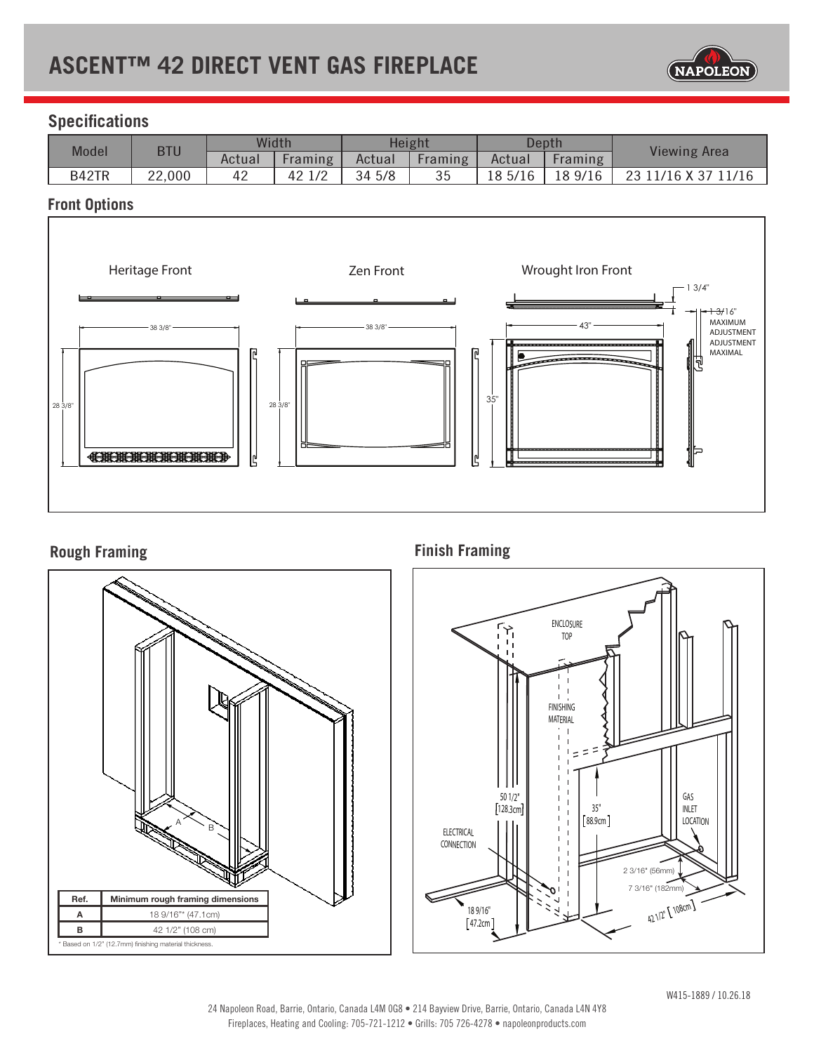# **ASCENT™ 42 DIRECT VENT GAS FIREPLACE**



# **Specifications**

| <b>Model</b> | <b>BTU</b> | Width  |                | Height |         | Depth   |         | <b>Viewing Area</b> |
|--------------|------------|--------|----------------|--------|---------|---------|---------|---------------------|
|              |            | Actual | <b>Framing</b> | Actual | Framing | Actual  | Framing |                     |
| B42TR        | 22,000     | 42     | 1/2<br>42      | 34 5/8 | 35      | 18 5/16 | 18 9/16 | $11/16$ X 37<br>23  |

### **Front Options**



# **Rough Framing**



**Finish Framing**

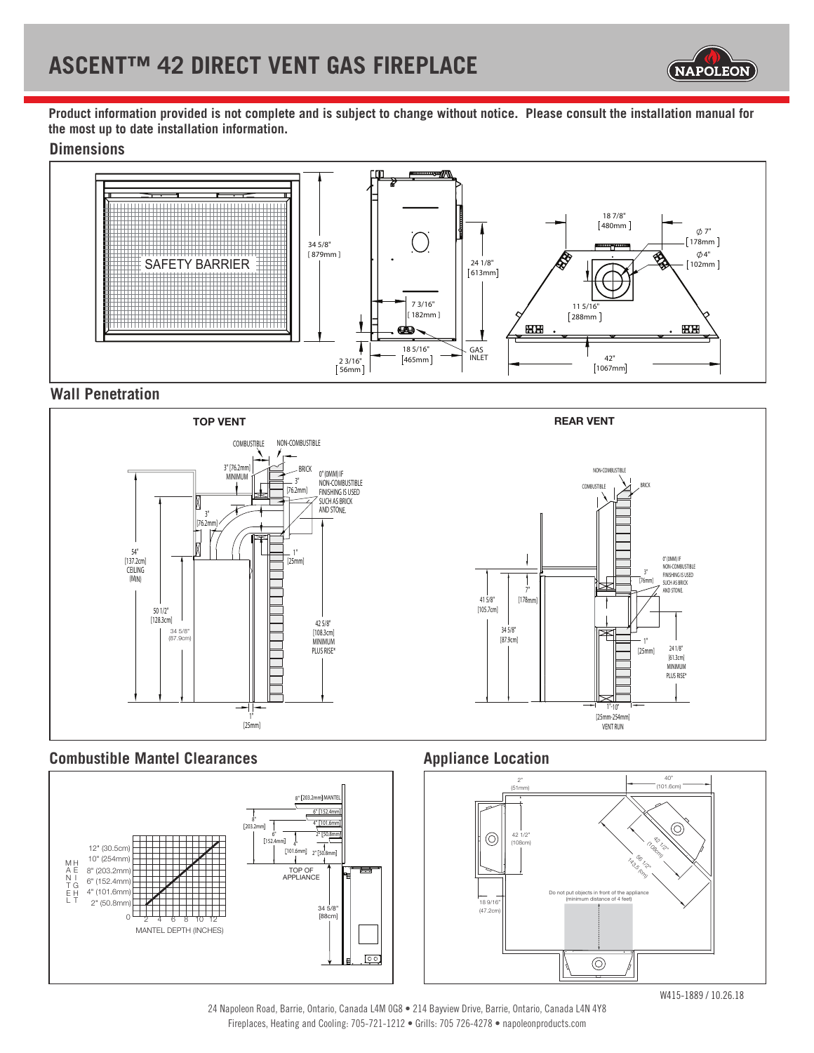

**Product information provided is not complete and is subject to change without notice. Please consult the installation manual for the most up to date installation information.**

### **Dimensions**



# **Wall Penetration**



### **Combustible Mantel Clearances Appliance Location**





W415-1889 / 10.26.18

24 Napoleon Road, Barrie, Ontario, Canada L4M 0G8 • 214 Bayview Drive, Barrie, Ontario, Canada L4N 4Y8 Fireplaces, Heating and Cooling: 705-721-1212 • Grills: 705 726-4278 • napoleonproducts.com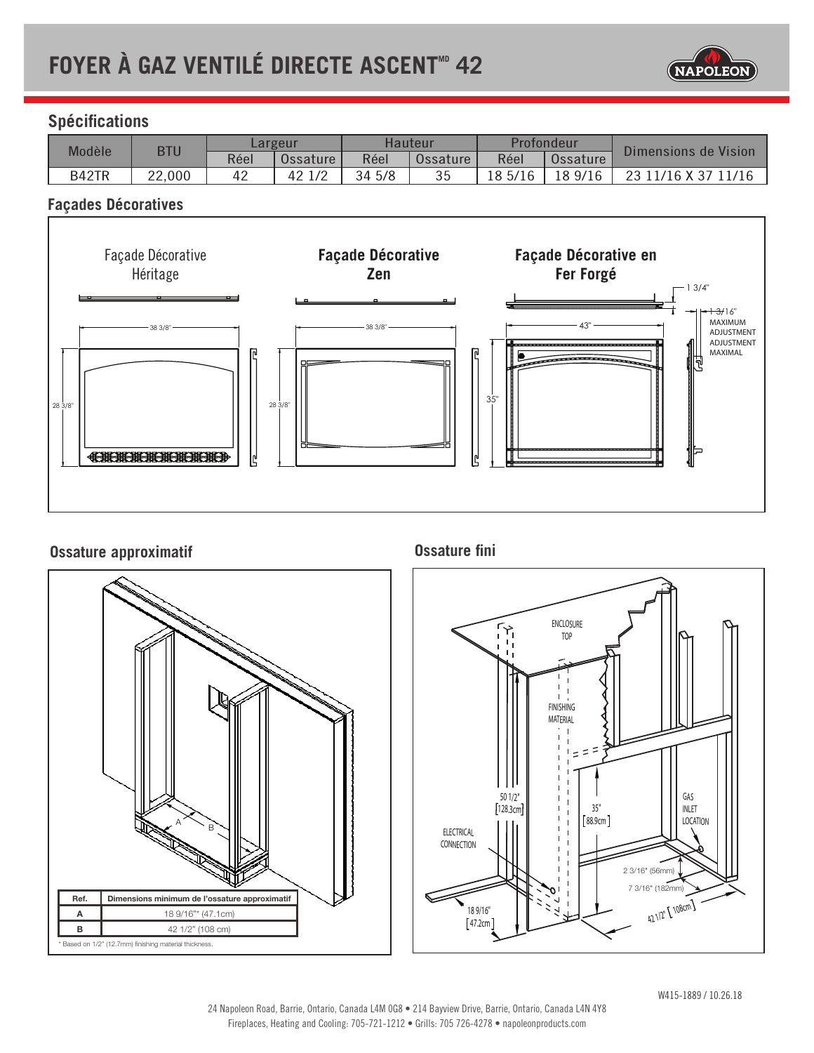

# **Spécifications**

| Modèle | <b>BTU</b> | Largeur |          | Hauteur |          | Profondeur |          | Dimensions de Vision |
|--------|------------|---------|----------|---------|----------|------------|----------|----------------------|
|        |            | Réel    | Ossature | Réel    | Ossature | Réel       | Ossature |                      |
| B42TR  | 22,000     | 42      | 42 1/2   | 34 5/8  | 35       | 18 5/16    | 18 9/16  | 23 11/16 X 37        |

### **Façades Décoratives**



## **Ossature approximatif**



**Ossature fini**